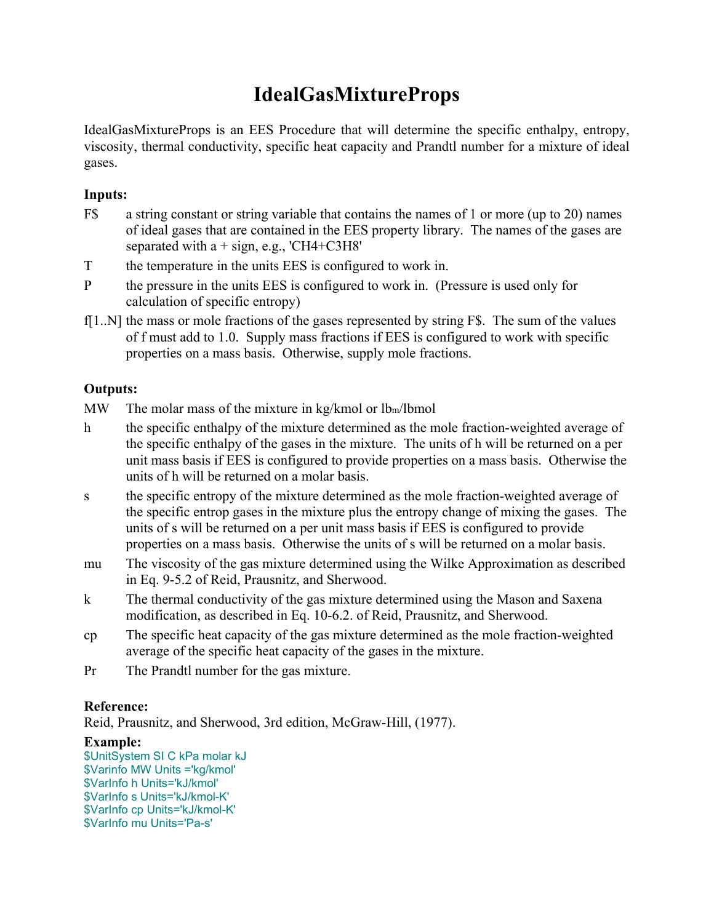# **IdealGasMixtureProps**

IdealGasMixtureProps is an EES Procedure that will determine the specific enthalpy, entropy, viscosity, thermal conductivity, specific heat capacity and Prandtl number for a mixture of ideal gases.

### **Inputs:**

- F\$ a string constant or string variable that contains the names of 1 or more (up to 20) names of ideal gases that are contained in the EES property library. The names of the gases are separated with  $a + sign$ , e.g., 'CH4+C3H8'
- T the temperature in the units EES is configured to work in.
- P the pressure in the units EES is configured to work in. (Pressure is used only for calculation of specific entropy)
- f[1..N] the mass or mole fractions of the gases represented by string F\$. The sum of the values of f must add to 1.0. Supply mass fractions if EES is configured to work with specific properties on a mass basis. Otherwise, supply mole fractions.

## **Outputs:**

MW The molar mass of the mixture in kg/kmol or lb<sub>m</sub>/lbmol

- h the specific enthalpy of the mixture determined as the mole fraction-weighted average of the specific enthalpy of the gases in the mixture. The units of h will be returned on a per unit mass basis if EES is configured to provide properties on a mass basis. Otherwise the units of h will be returned on a molar basis.
- s the specific entropy of the mixture determined as the mole fraction-weighted average of the specific entrop gases in the mixture plus the entropy change of mixing the gases. The units of s will be returned on a per unit mass basis if EES is configured to provide properties on a mass basis. Otherwise the units of s will be returned on a molar basis.
- mu The viscosity of the gas mixture determined using the Wilke Approximation as described in Eq. 9-5.2 of Reid, Prausnitz, and Sherwood.
- k The thermal conductivity of the gas mixture determined using the Mason and Saxena modification, as described in Eq. 10-6.2. of Reid, Prausnitz, and Sherwood.
- cp The specific heat capacity of the gas mixture determined as the mole fraction-weighted average of the specific heat capacity of the gases in the mixture.
- Pr The Prandtl number for the gas mixture.

### **Reference:**

Reid, Prausnitz, and Sherwood, 3rd edition, McGraw-Hill, (1977).

### **Example:**

\$UnitSystem SI C kPa molar kJ \$Varinfo MW Units ='kg/kmol' \$VarInfo h Units='kJ/kmol' \$VarInfo s Units='kJ/kmol-K' \$VarInfo cp Units='kJ/kmol-K' \$VarInfo mu Units='Pa-s'